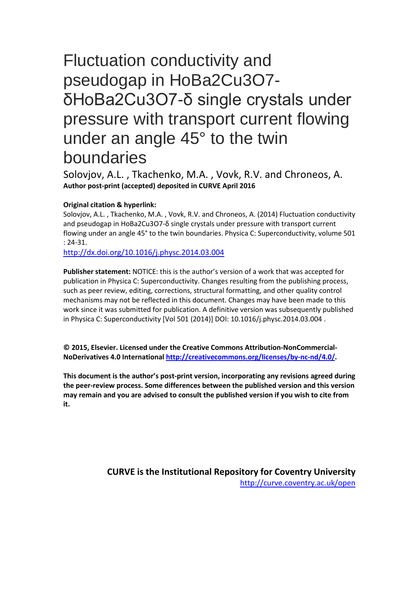# Fluctuation conductivity and pseudogap in HoBa2Cu3O7 δHoBa2Cu3O7-δ single crystals under pressure with transport current flowing under an angle 45° to the twin boundaries

Solovjov, A.L. , Tkachenko, M.A. , Vovk, R.V. and Chroneos, A. **Author post-print (accepted) deposited in CURVE April 2016**

## **Original citation & hyperlink:**

Solovjov, A.L. , Tkachenko, M.A. , Vovk, R.V. and Chroneos, A. (2014) Fluctuation conductivity and pseudogap in HoBa2Cu3O7-δ single crystals under pressure with transport current flowing under an angle 45° to the twin boundaries. Physica C: Superconductivity, volume 501 : 24-31.

<http://dx.doi.org/10.1016/j.physc.2014.03.004>

**Publisher statement:** NOTICE: this is the author's version of a work that was accepted for publication in Physica C: Superconductivity. Changes resulting from the publishing process, such as peer review, editing, corrections, structural formatting, and other quality control mechanisms may not be reflected in this document. Changes may have been made to this work since it was submitted for publication. A definitive version was subsequently published in Physica C: Superconductivity [Vol 501 (2014)] DOI: 10.1016/j.physc.2014.03.004 .

**© 2015, Elsevier. Licensed under the Creative Commons Attribution-NonCommercial-NoDerivatives 4.0 International [http://creativecommons.org/licenses/by-nc-nd/4.0/.](http://creativecommons.org/licenses/by-nc-nd/4.0/)**

**This document is the author's post-print version, incorporating any revisions agreed during the peer-review process. Some differences between the published version and this version may remain and you are advised to consult the published version if you wish to cite from it.** 

> **CURVE is the Institutional Repository for Coventry University** <http://curve.coventry.ac.uk/open>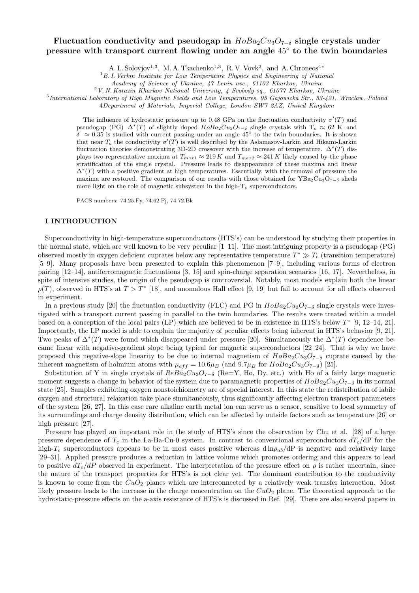## **Fluctuation conductivity and pseudogap in** *HoBa*2*Cu*3*O*<sup>7</sup>*−<sup>δ</sup>* **single crystals under pressure with transport current flowing under an angle** 45*◦* **to the twin boundaries**

A. L. Solovjov<sup>1,3</sup>, M. A. Tkachenko<sup>1,3</sup>, R. V. Vovk<sup>2</sup>, and A. Chroneos<sup>4\*</sup>

<sup>1</sup>*B. I. Verkin Institute for Low Temperature Physics and Engineering of National*

<sup>2</sup>*V. N. Karazin Kharkov National University, 4 Svobody sq., 61077 Kharkov, Ukraine*

3 *International Laboratory of High Magnetic Fields and Low Temperatures, 95 Gajowicka Str., 53-421, Wroclaw, Poland*

4*Department of Materials, Imperial College, London SW7 2AZ, United Kingdom*

The influence of hydrostatic pressure up to 0.48 GPa on the fluctuation conductivity  $\sigma'(T)$  and pseudogap (PG)  $\Delta^*(T)$  of slightly doped  $H \circ Ba_2Cu_3O_{7-\delta}$  single crystals with  $T_c \approx 62$  K and  $\delta \approx 0.35$  is studied with current passing under an angle  $45^\circ$  to the twin boundaries. It is shown that near  $T_c$  the conductivity  $\sigma'(T)$  is well described by the Aslamasov-Larkin and Hikami-Larkin fluctuation theories demonstrating 3D-2D crossover with the increase of temperature. ∆*<sup>∗</sup>* (*T*) displays two representative maxima at  $T_{max1} \approx 219 K$  and  $T_{max2} \approx 241 K$  likely caused by the phase stratification of the single crystal. Pressure leads to disappearance of these maxima and linear ∆*<sup>∗</sup>* (*T*) with a positive gradient at high temperatures. Essentially, with the removal of pressure the maxima are restored. The comparison of our results with those obtained for YBa<sub>2</sub>Cu<sub>3</sub>O<sub>7−</sub><sup>δ</sup> sheds more light on the role of magnetic subsystem in the high-T*<sup>c</sup>* superconductors.

PACS numbers: 74.25.Fy, 74.62.Fj, 74.72.Bk

### **I***.* **INTRODUCTION**

Superconductivity in high-temperature superconductors (HTS's) can be understood by studying their properties in the normal state, which are well known to be very peculiar  $[1-11]$ . The most intriguing property is a pseudogap (PG) observed mostly in oxygen deficient cuprates below any representative temperature  $T^* \gg T_c$  (transition temperature) [5–9]. Many proposals have been presented to explain this phenomenon [7–9], including various forms of electron pairing [12–14], antiferromagnetic fluctuations [3, 15] and spin-charge separation scenarios [16, 17]. Nevertheless, in spite of intensive studies, the origin of the pseudogap is controversial. Notably, most models explain both the linear  $\rho(T)$ , observed in HTS's at  $T > T^*$  [18], and anomalous Hall effect [9, 19] but fail to account for all effects observed in experiment.

In a previous study [20] the fluctuation conductivity (FLC) and PG in  $H \circ Ba_2Cu_3O_{7-\delta}$  single crystals were investigated with a transport current passing in parallel to the twin boundaries. The results were treated within a model based on a conception of the local pairs (LP) which are believed to be in existence in HTS's below *T ∗* [9, 12–14, 21]. Importantly, the LP model is able to explain the majority of peculiar effects being inherent in HTS's behavior [9, 21]. Two peaks of ∆*<sup>∗</sup>* (*T*) were found which disappeared under pressure [20]. Simultaneously the ∆*<sup>∗</sup>* (*T*) dependence became linear with negative-gradient slope being typical for magnetic superconductors [22–24]. That is why we have proposed this negative-slope linearity to be due to internal magnetism of *HoBa*2*Cu*3*O*<sup>7</sup>*−<sup>δ</sup>* cuprate caused by the inherent magnetism of holmium atoms with  $\mu_{eff} = 10.6 \mu_B$  (and  $9.7 \mu_B$  for  $H \circ Ba_2Cu_3O_{7-\delta}$ ) [25].

Substitution of Y in single crystals of  $ReBa_2Cu_3O_{7-\delta}$  (Re=Y, Ho, Dy, etc.) with Ho of a fairly large magnetic moment suggests a change in behavior of the system due to paramagnetic properties of *HoBa*2*Cu*3*O*<sup>7</sup>*−<sup>δ</sup>* in its normal state [25]. Samples exhibiting oxygen nonstoichiometry are of special interest. In this state the redistribution of labile oxygen and structural relaxation take place simultaneously, thus significantly affecting electron transport parameters of the system [26, 27]. In this case rare alkaline earth metal ion can serve as a sensor, sensitive to local symmetry of its surroundings and charge density distribution, which can be affected by outside factors such as temperature [26] or high pressure [27].

Pressure has played an important role in the study of HTS's since the observation by Chu et al. [28] of a large pressure dependence of  $T_c$  in the La-Ba-Cu-0 system. In contrast to conventional superconductors  $dT_c/dP$  for the high- $T_c$  superconductors appears to be in most cases positive whereas  $d \ln \rho_{ab}/dP$  is negative and relatively large [29–31]. Applied pressure produces a reduction in lattice volume which promotes ordering and this appears to lead to positive  $dT_c/dP$  observed in experiment. The interpretation of the pressure effect on  $\rho$  is rather uncertain, since the nature of the transport properties for HTS's is not clear yet. The dominant contribution to the conductivity is known to come from the *CuO*<sup>2</sup> planes which are interconnected by a relatively weak transfer interaction. Most likely pressure leads to the increase in the charge concentration on the *CuO*<sup>2</sup> plane. The theoretical approach to the hydrostatic-pressure effects on the a-axis resistance of HTS's is discussed in Ref. [29]. There are also several papers in

*Academy of Science of Ukraine, 47 Lenin ave., 61103 Kharkov, Ukraine*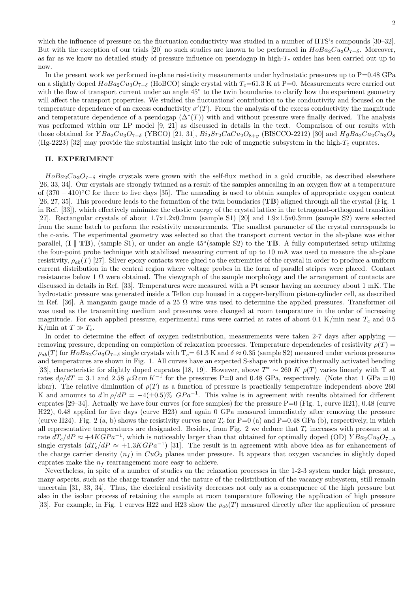which the influence of pressure on the fluctuation conductivity was studied in a number of HTS's compounds [30–32]. But with the exception of our trials [20] no such studies are known to be performed in *HoBa*2*Cu*3*O*<sup>7</sup>*−<sup>δ</sup>*. Moreover, as far as we know no detailed study of pressure influence on pseudogap in high-*T<sup>c</sup>* oxides has been carried out up to now.

In the present work we performed in-plane resistivity measurements under hydrostatic pressures up to  $P=0.48$  GPa on a slightly doped  $H \circ Ba_2Cu_3O_{7-\delta}$  (HoBCO) single crystal with  $T_c=61.3$  K at P=0. Measurements were carried out with the flow of transport current under an angle 45<sup>°</sup> to the twin boundaries to clarify how the experiment geometry will affect the transport properties. We studied the fluctuations' contribution to the conductivity and focused on the temperature dependence of an excess conductivity  $\sigma'(T)$ . From the analysis of the excess conductivity the magnitude and temperature dependence of a pseudogap  $(\Delta^*(T))$  with and without pressure were finally derived. The analysis was performed within our LP model [9, 21] as discussed in details in the text. Comparison of our results with those obtained for  $YBa_2Cu_3O_{7-\delta}$  (YBCO) [21, 31],  $Bi_2Sr_2CaCu_2O_{8+y}$  (BISCCO-2212) [30] and  $HgBa_2Ca_2Cu_3O_8$ (Hg-2223) [32] may provide the substantial insight into the role of magnetic subsystem in the high-*T<sup>c</sup>* cuprates.

#### **II. EXPERIMENT**

 $H \circ Ba_2Cu_3O_{7-\delta}$  single crystals were grown with the self-flux method in a gold crucible, as described elsewhere [26, 33, 34]. Our crystals are strongly twinned as a result of the samples annealing in an oxygen flow at a temperature of (370 *−* 410)*◦*C for three to five days [35]. The annealing is used to obtain samples of appropriate oxygen content [26, 27, 35]. This procedure leads to the formation of the twin boundaries (**TB**) aligned through all the crystal (Fig. 1 in Ref. [33]), which effectively minimize the elastic energy of the crystal lattice in the tetragonal-orthogonal transition [27]. Rectangular crystals of about 1.7x1.2x0.2mm (sample S1) [20] and 1.9x1.5x0.3mm (sample S2) were selected from the same batch to perform the resistivity measurements. The smallest parameter of the crystal corresponds to the c-axis. The experimental geometry was selected so that the transport current vector in the ab-plane was either parallel, (**I** *∥* **TB**), (sample S1), or under an angle 45*◦* (sample S2) to the **TB**. A fully computerized setup utilizing the four-point probe technique with stabilized measuring current of up to 10 mA was used to measure the ab-plane resistivity,  $\rho_{ab}(T)$  [27]. Silver epoxy contacts were glued to the extremities of the crystal in order to produce a uniform current distribution in the central region where voltage probes in the form of parallel stripes were placed. Contact resistances below 1  $\Omega$  were obtained. The viewgraph of the sample morphology and the arrangement of contacts are discussed in details in Ref. [33]. Temperatures were measured with a Pt sensor having an accuracy about 1 mK. The hydrostatic pressure was generated inside a Teflon cup housed in a copper-beryllium piston-cylinder cell, as described in Ref. [36]. A manganin gauge made of a 25  $\Omega$  wire was used to determine the applied pressures. Transformer oil was used as the transmitting medium and pressures were changed at room temperature in the order of increasing magnitude. For each applied pressure, experimental runs were carried at rates of about 0.1 K/min near *T<sup>c</sup>* and 0.5 K/min at  $T \gg T_c$ .

In order to determine the effect of oxygen redistribution, measurements were taken 2-7 days after applying removing pressure, depending on completion of relaxation processes. Temperature dependencies of resistivity  $\rho(T)$  $\rho_{ab}(T)$  for  $H \circ Ba_2Cu_3O_{7-\delta}$  single crystals with T<sub>c</sub>= 61.3 K and  $\delta \approx 0.35$  (sample S2) measured under various pressures and temperatures are shown in Fig. 1. All curves have an expected S-shape with positive thermally activated bending [33], characteristic for slightly doped cuprates [18, 19]. However, above  $T^* \sim 260$  *K*  $\rho(T)$  varies linearly with T at rates  $d\rho/dT = 3.1$  and 2.58  $\mu \Omega$  *cm* K<sup>-1</sup> for the pressures P=0 and 0.48 GPa, respectively. (Note that 1 GPa =10) kbar). The relative diminution of  $\rho(T)$  as a function of pressure is practically temperature independent above 260 K and amounts to  $d\ln \rho/dP = -4(\pm 0.5)\%$   $GPa^{-1}$ . This value is in agreement with results obtained for different cuprates  $[29-34]$ . Actually we have four curves (or fore samples) for the pressure P=0 (Fig. 1, curve H21), 0.48 (curve H22), 0.48 applied for five days (curve H23) and again 0 GPa measured immediately after removing the pressure (curve H24). Fig. 2 (a, b) shows the resistivity curves near  $T_c$  for P=0 (a) and P=0.48 GPa (b), respectively, in which all representative temperatures are designated. Besides, from Fig. 2 we deduce that  $T_c$  increases with pressure at a rate  $dT_c/dP \approx +4KGPa^{-1}$ , which is noticeably larger than that obtained for optimally doped (OD)  $YBa_2Cu_3O_7$ <sup>*−δ*</sup> single crystals  $(dT_c/dP \approx +1.3KGPa^{-1})$  [31]. The result is in agreement with above idea as for enhancement of the charge carrier density  $(n_f)$  in  $CuO_2$  planes under pressure. It appears that oxygen vacancies in slightly doped cuprates make the  $n_f$  rearrangement more easy to achieve.

Nevertheless, in spite of a number of studies on the relaxation processes in the 1-2-3 system under high pressure, many aspects, such as the charge transfer and the nature of the redistribution of the vacancy subsystem, still remain uncertain [31, 33, 34]. Thus, the electrical resistivity decreases not only as a consequence of the high pressure but also in the isobar process of retaining the sample at room temperature following the application of high pressure [33]. For example, in Fig. 1 curves H22 and H23 show the  $\rho_{ab}(T)$  measured directly after the application of pressure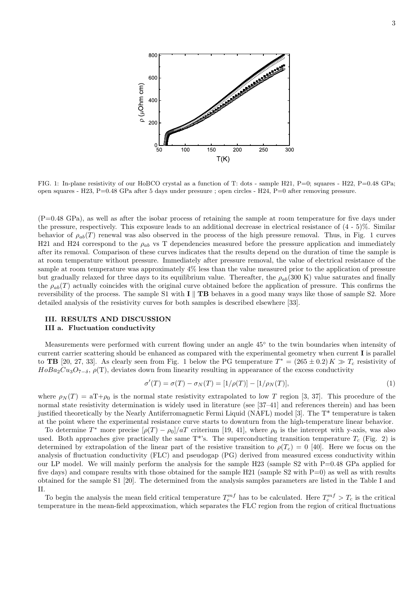

FIG. 1: In-plane resistivity of our HoBCO crystal as a function of T: dots - sample H21, P=0; squares - H22, P=0.48 GPa; open squares - H23, P=0.48 GPa after 5 days under presuure ; open circles - H24, P=0 after removing pressure.

(P=0.48 GPa), as well as after the isobar process of retaining the sample at room temperature for five days under the pressure, respectively. This exposure leads to an additional decrease in electrical resistance of (4 - 5)%. Similar behavior of  $\rho_{ab}(T)$  renewal was also observed in the process of the high pressure removal. Thus, in Fig. 1 curves H21 and H24 correspond to the  $\rho_{ab}$  vs T dependencies measured before the pressure application and immediately after its removal. Comparison of these curves indicates that the results depend on the duration of time the sample is at room temperature without pressure. Immediately after pressure removal, the value of electrical resistance of the sample at room temperature was approximately 4% less than the value measured prior to the application of pressure but gradually relaxed for three days to its equilibrium value. Thereafter, the  $\rho_{ab}$ (300 K) value saturates and finally the  $\rho_{ab}(T)$  actually coincides with the original curve obtained before the application of pressure. This confirms the reversibility of the process. The sample S1 with **I** *∥* **TB** behaves in a good many ways like those of sample S2. More detailed analysis of the resistivity curves for both samples is described elsewhere [33].

## **III. RESULTS AND DISCUSSION III a. Fluctuation conductivity**

Measurements were performed with current flowing under an angle 45*◦* to the twin boundaries when intensity of current carrier scattering should be enhanced as compared with the experimental geometry when current **I** is parallel to **TB** [20, 27, 33]. As clearly seen from Fig. 1 below the PG temperature  $T^* = (265 \pm 0.2) K \gg T_c$  resistivity of  $H \circ Ba_2Cu_3O_{7-\delta}$ ,  $\rho(T)$ , deviates down from linearity resulting in appearance of the excess conductivity

$$
\sigma'(T) = \sigma(T) - \sigma_N(T) = [1/\rho(T)] - [1/\rho_N(T)],
$$
\n(1)

where  $\rho_N(T) = aT + \rho_0$  is the normal state resistivity extrapolated to low *T* region [3, 37]. This procedure of the normal state resistivity determination is widely used in literature (see [37–41] and references therein) and has been justified theoretically by the Nearly Antiferromagnetic Fermi Liquid (NAFL) model [3]. The T\* temperature is taken at the point where the experimental resistance curve starts to downturn from the high-temperature linear behavior.

To determine  $T^*$  more precise  $[\rho(T) - \rho_0]/aT$  criterium [19, 41], where  $\rho_0$  is the intercept with y-axis, was also used. Both approaches give practically the same  $T^*$ 's. The superconducting transition temperature  $T_c$  (Fig. 2) is determined by extrapolation of the linear part of the resistive transition to  $\rho(T_c) = 0$  [40]. Here we focus on the analysis of fluctuation conductivity (FLC) and pseudogap (PG) derived from measured excess conductivity within our LP model. We will mainly perform the analysis for the sample H23 (sample S2 with  $P=0.48$  GPa applied for five days) and compare results with those obtained for the sample H21 (sample S2 with  $P=0$ ) as well as with results obtained for the sample S1 [20]. The determined from the analysis samples parameters are listed in the Table I and II.

To begin the analysis the mean field critical temperature  $T_c^{mf}$  has to be calculated. Here  $T_c^{mf} > T_c$  is the critical temperature in the mean-field approximation, which separates the FLC region from the region of critical fluctuations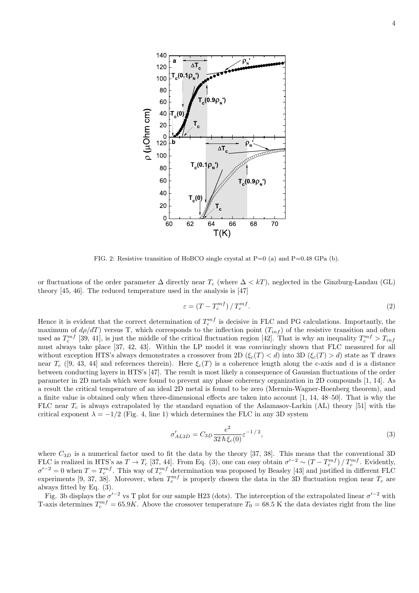

FIG. 2: Resistive transition of HoBCO single crystal at  $P=0$  (a) and  $P=0.48$  GPa (b).

or fluctuations of the order parameter ∆ directly near *T<sup>c</sup>* (where ∆ *< kT*), neglected in the Ginzburg-Landau (GL) theory [45, 46]. The reduced temperature used in the analysis is [47]

$$
\varepsilon = \left(T - T_c^{mf}\right) / T_c^{mf}.\tag{2}
$$

Hence it is evident that the correct determination of  $T_c^{mf}$  is decisive in FLC and PG calculations. Importantly, the maximum of  $d\rho/dT$ ) versus T, which corresponds to the inflection point  $(T_{inf})$  of the resistive transition and often used as  $T_c^{mf}$  [39, 41], is just the middle of the critical fluctuation region [42]. That is why an inequality  $T_c^{mf} > T_{inf}$ must always take place [37, 42, 43]. Within the LP model it was convincingly shown that FLC measured for all without exception HTS's always demonstrates a crossover from 2D ( $\xi_c(T) < d$ ) into 3D ( $\xi_c(T) > d$ ) state as T draws near  $T_c$  ([9, 43, 44] and references therein). Here  $\xi_c(T)$  is a coherence length along the c-axis and d is a distance between conducting layers in HTS's [47]. The result is most likely a consequence of Gaussian fluctuations of the order parameter in 2D metals which were found to prevent any phase coherency organization in 2D compounds [1, 14]. As a result the critical temperature of an ideal 2D metal is found to be zero (Mermin-Wagner-Hoenberg theorem), and a finite value is obtained only when three-dimensional effects are taken into account [1, 14, 48–50]. That is why the FLC near *T<sup>c</sup>* is always extrapolated by the standard equation of the Aslamasov-Larkin (AL) theory [51] with the critical exponent  $\lambda = -1/2$  (Fig. 4, line 1) which determines the FLC in any 3D system

$$
\sigma'_{AL3D} = C_{3D} \frac{e^2}{32 \,\hbar \,\xi_c(0)} \varepsilon^{-1/2},\tag{3}
$$

where  $C_{3D}$  is a numerical factor used to fit the data by the theory [37, 38]. This means that the conventional 3D FLC is realized in HTS's as  $T \to T_c$  [37, 44]. From Eq. (3), one can easy obtain  $\sigma'^{-2} \sim (T - T_c^{mf})/T_c^{mf}$ . Evidently,  $\sigma'^{-2} = 0$  when  $T = T_c^{mf}$ . This way of  $T_c^{mf}$  determination was proposed by Beasley [43] and justified in different FLC experiments [9, 37, 38]. Moreover, when  $T_c^{mf}$  is properly chosen the data in the 3D fluctuation region near  $T_c$  are always fitted by Eq. (3).

Fig. 3b displays the  $\sigma'^{-2}$  vs T plot for our sample H23 (dots). The interception of the extrapolated linear  $\sigma'^{-2}$  with T-axis determines  $T_c^{mf} = 65.9K$ . Above the crossover temperature  $T_0 = 68.5$  K the data deviates right from the line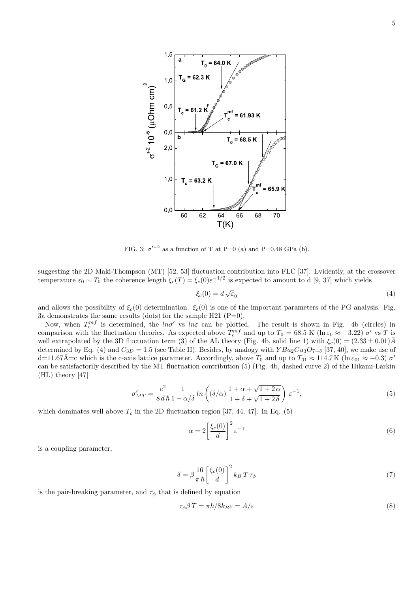

FIG. 3:  $\sigma'^{-2}$  as a function of T at P=0 (a) and P=0.48 GPa (b).

suggesting the 2D Maki-Thompson (MT) [52, 53] fluctuation contribution into FLC [37]. Evidently, at the crossover temperature  $\varepsilon_0 \sim T_0$  the coherence length  $\xi_c(T) = \xi_c(0) \varepsilon^{-1/2}$  is expected to amount to d [9, 37] which yields

$$
\xi_c(0) = d\sqrt{\varepsilon_0} \tag{4}
$$

and allows the possibility of  $\xi_c(0)$  determination.  $\xi_c(0)$  is one of the important parameters of the PG analysis. Fig. 3a demonstrates the same results (dots) for the sample H21  $(P=0)$ .

Now, when  $T_c^{mf}$  is determined, the  $ln\sigma'$  vs  $ln\varepsilon$  can be plotted. The result is shown in Fig. 4b (circles) in comparison with the fluctuation theories. As expected above  $T_c^{mf}$  and up to  $T_0 = 68.5$  K (ln  $\varepsilon_0 \approx -3.22$ )  $\sigma'$  vs *T* is well extrapolated by the 3D fluctuation term (3) of the AL theory (Fig. 4b, solid line 1) with  $\xi_c(0) = (2.33 \pm 0.01)$ Å determined by Eq. (4) and  $C_{3D} = 1.5$  (see Table II). Besides, by analogy with  $YBa_2Cu_3O_{7-\delta}$  [37, 40], we make use of d=11.67Å=c which is the c-axis lattice parameter. Accordingly, above  $T_0$  and up to  $T_{01} \approx 114.7 \text{ K (ln } \varepsilon_{01} \approx -0.3) \sigma'$ can be satisfactorily described by the MT fluctuation contribution (5) (Fig. 4b, dashed curve 2) of the Hikami-Larkin (HL) theory [47]

$$
\sigma'_{MT} = \frac{e^2}{8 d \hbar} \frac{1}{1 - \alpha/\delta} \ln \left( (\delta/\alpha) \frac{1 + \alpha + \sqrt{1 + 2 \alpha}}{1 + \delta + \sqrt{1 + 2 \delta}} \right) \varepsilon^{-1},\tag{5}
$$

which dominates well above  $T_c$  in the 2D fluctuation region [37, 44, 47]. In Eq. (5)

$$
\alpha = 2 \left[ \frac{\xi_c(0)}{d} \right]^2 \varepsilon^{-1} \tag{6}
$$

is a coupling parameter,

$$
\delta = \beta \frac{16}{\pi \hbar} \left[ \frac{\xi_c(0)}{d} \right]^2 k_B T \tau_{\phi} \tag{7}
$$

is the pair-breaking parameter, and  $\tau_{\phi}$  that is defined by equation

$$
\tau_{\phi}\beta T = \pi\hbar/8k_B\varepsilon = A/\varepsilon\tag{8}
$$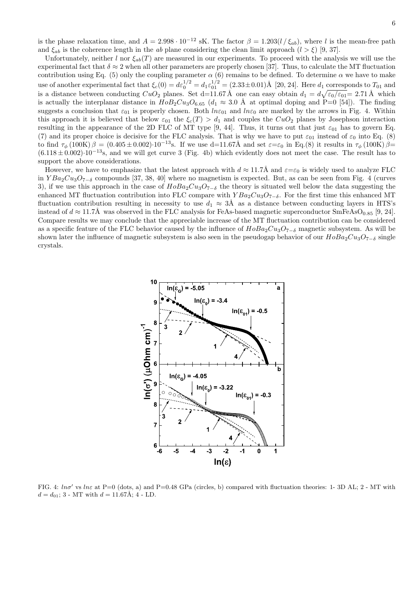is the phase relaxation time, and  $A = 2.998 \cdot 10^{-12}$  sK. The factor  $\beta = 1.203(l/\xi_{ab})$ , where *l* is the mean-free path and  $\xi_{ab}$  is the coherence length in the *ab* plane considering the clean limit approach  $(l > \xi)$  [9, 37].

Unfortunately, neither *l* nor  $\xi_{ab}(T)$  are measured in our experiments. To proceed with the analysis we will use the experimental fact that  $\delta \approx 2$  when all other parameters are properly chosen [37]. Thus, to calculate the MT fluctuation contribution using Eq. (5) only the coupling parameter  $\alpha$  (6) remains to be defined. To determine  $\alpha$  we have to make use of another experimental fact that  $\xi_c(0) = d\varepsilon_0^{1/2} = d_1\varepsilon_{01}^{1/2} = (2.33 \pm 0.01)$ Å [20, 24]. Here  $d_1$  corresponds to  $T_{01}$  and is a distance between conducting  $CuO_2$  planes. Set d=11.67 Å one can easy obtain  $d_1 = d\sqrt{\varepsilon_0/\varepsilon_{01}} = 2.71$  Å which is actually the interplanar distance in  $H \circ B_2 \circ C u_3 O_{6.65}$  ( $d_1 \approx 3.0$  Å at optimal doping and P=0 [54]). The finding suggests a conclusion that  $\varepsilon_{01}$  is properly chosen. Both  $ln \varepsilon_{01}$  and  $ln \varepsilon_0$  are marked by the arrows in Fig. 4. Within this approach it is believed that below  $\varepsilon_{01}$  the  $\xi_c(T) > d_1$  and couples the  $CuO_2$  planes by Josephson interaction resulting in the appearance of the 2D FLC of MT type [9, 44]. Thus, it turns out that just  $\varepsilon_{01}$  has to govern Eq. (7) and its proper choice is decisive for the FLC analysis. That is why we have to put  $\varepsilon_{01}$  instead of  $\varepsilon_{0}$  into Eq. (8)  $(1)$ <sup>2</sup> and *π*<sup>*γ*</sup> (100K) *β* = (0.405 ± 0.002)<sup>*·*</sup>·10<sup>*−*13</sup>s. If we use d=11.67Å and set *ε*=*ε*<sub>0</sub> in Eq.(8) it results in *τ*<sub>*ϕ*</sub> (100K) *β*=  $(6.118 \pm 0.002) \cdot 10^{-13}$ s, and we will get curve 3 (Fig. 4b) which evidently does not meet the case. The result has to support the above considerations.

However, we have to emphasize that the latest approach with  $d \approx 11.7\text{\AA}$  and  $\varepsilon = \varepsilon_0$  is widely used to analyze FLC in *Y Ba*2*Cu*3*O*<sup>7</sup>*−<sup>δ</sup>* compounds [37, 38, 40] where no magnetism is expected. But, as can be seen from Fig. 4 (curves 3), if we use this approach in the case of *HoBa*2*Cu*3*O*<sup>7</sup>*−<sup>δ</sup>* the theory is situated well below the data suggesting the enhanced MT fluctuation contribution into FLC compare with  $YBa_2Cu_3O_{7-\delta}$ . For the first time this enhanced MT fluctuation contribution resulting in necessity to use  $d_1 \approx 3\text{\AA}$  as a distance between conducting layers in HTS's instead of  $d \approx 11.7$ Å was observed in the FLC analysis for FeAs-based magnetic superconductor SmFeAsO<sub>0.85</sub> [9, 24]. Compare results we may conclude that the appreciable increase of the MT fluctuation contribution can be considered as a specific feature of the FLC behavior caused by the influence of *HoBa*2*Cu*3*O*<sup>7</sup>*−<sup>δ</sup>* magnetic subsystem. As will be shown later the influence of magnetic subsystem is also seen in the pseudogap behavior of our  $H \circ Ba_2Cu_3O_{7-\delta}$  single crystals.



FIG. 4: *lnσ'* vs *lnε* at P=0 (dots, a) and P=0.48 GPa (circles, b) compared with fluctuation theories: 1- 3D AL; 2 - MT with  $d = d_{01}$ ; 3 - MT with  $d = 11.67$ Å; 4 - LD.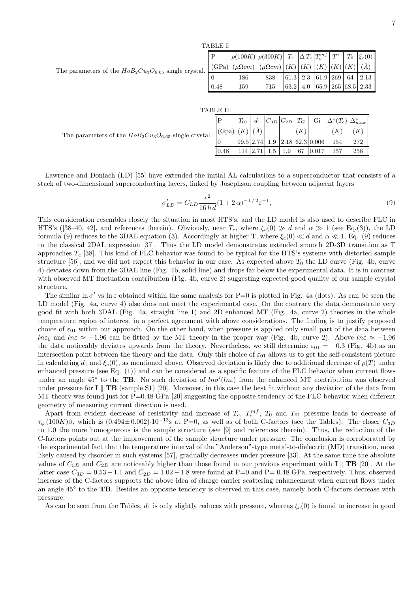|  | TABLE I: |  |
|--|----------|--|
|--|----------|--|

The parameters of the  $H \circ B_2Cu_3O_{6.65}$  single crystal.

| ∥Ρ   | $\left \rho(100K)\right \rho(300K)\left \right T_c\left \Delta\,T_c\left T_c^{mf}\right T^*\left \right T_0\left \xi_c(0)\right \right $                                    |     |  |  |                                                                       |
|------|-----------------------------------------------------------------------------------------------------------------------------------------------------------------------------|-----|--|--|-----------------------------------------------------------------------|
|      | $\left\  (\text{GPa}) \right\  (\mu \Omega cm) \left[ (\mu \Omega cm) \right] (K) \left[ (K) \right] (K) \left[ (K) \right] (K) \left[ (K) \right] (\mathring{A}) \right\ $ |     |  |  |                                                                       |
|      | 186                                                                                                                                                                         | 838 |  |  | $\vert 61.3 \vert 2.3 \vert 61.9 \vert 269 \vert 64 \vert 2.13 \vert$ |
| 0.48 | 159                                                                                                                                                                         | 715 |  |  |                                                                       |

| TABLE II:                                                 |       |          |       |     |     |    |                               |                                                                                                                                     |     |
|-----------------------------------------------------------|-------|----------|-------|-----|-----|----|-------------------------------|-------------------------------------------------------------------------------------------------------------------------------------|-----|
| The parameters of the $HoB_2Cu_3O_{6.65}$ single crystal. |       | $T_{01}$ | $d_1$ |     |     |    |                               | $\begin{array}{ c c c c c c } \hline  C_{3D}  & C_{2D}  & T_G & \text{Gi} & \Delta^*(T_c) \Delta_{max}^* ^{p_c} \hline \end{array}$ |     |
|                                                           | (Gpa) |          |       |     |     |    |                               |                                                                                                                                     | K   |
|                                                           |       |          |       |     |     |    | 99.5 2.74 1.9 2.18 62.3 0.006 | 154                                                                                                                                 | 272 |
|                                                           | 0.48  |          |       | 1.5 | 1.9 | 67 | $\vert 0.017 \vert$           | 157                                                                                                                                 | 258 |

Lawrence and Doniach (LD) [55] have extended the initial AL calculations to a superconductor that consists of a stack of two-dimensional superconducting layers, linked by Josephson coupling between adjacent layers

$$
\sigma'_{LD} = C_{LD} \frac{e^2}{16 \,\hbar d} (1 + 2 \,\alpha)^{-1/2} \varepsilon^{-1},\tag{9}
$$

This consideration resembles closely the situation in most HTS's, and the LD model is also used to describe FLC in HTS's ([38–40, 42], and references therein). Obviously, near  $T_c$ , where  $\xi_c(0) \gg d$  and  $\alpha \gg 1$  (see Eq.(3)), the LD formula (9) reduces to the 3DAL equation (3). Accordingly at higher T, where  $\xi_c(0) \ll d$  and  $\alpha \ll 1$ , Eq. (9) reduces to the classical 2DAL expression [37]. Thus the LD model demonstrates extended smooth 2D-3D transition as T approaches *T<sup>c</sup>* [38]. This kind of FLC behavior was found to be typical for the HTS's systems with distorted sample structure [56], and we did not expect this behavior in our case. As expected above  $T_0$  the LD curve (Fig. 4b, curve 4) deviates down from the 3DAL line (Fig. 4b, solid line) and drops far below the experimental data. It is in contrast with observed MT fluctuation contribution (Fig. 4b, curve 2) suggesting expected good quality of our sample crystal structure.

The similar  $\ln \sigma'$  vs  $\ln \varepsilon$  obtained within the same analysis for P=0 is plotted in Fig. 4a (dots). As can be seen the LD model (Fig. 4a, curve 4) also does not meet the experimental case. On the contrary the data demonstrate very good fit with both 3DAL (Fig. 4a, straight line 1) and 2D enhanced MT (Fig. 4a, curve 2) theories in the whole temperature region of interest in a perfect agreement with above considerations. The finding is to justify proposed choice of  $\varepsilon_{01}$  within our approach. On the other hand, when pressure is applied only small part of the data between *lnε*<sub>0</sub> and *lnε*  $\approx$  −1*.*96 can be fitted by the MT theory in the proper way (Fig. 4b, curve 2). Above  $ln \varepsilon \approx -1.96$ the data noticeably deviates upwards from the theory. Nevertheless, we still determine  $\varepsilon_{01} = -0.3$  (Fig. 4b) as an intersection point between the theory and the data. Only this choice of  $\varepsilon_{01}$  allows us to get the self-consistent picture in calculating  $d_1$  and  $\xi_c(0)$ , as mentioned above. Observed deviation is likely due to additional decrease of  $\rho(T)$  under enhanced pressure (see Eq. (1)) and can be considered as a specific feature of the FLC behavior when current flows under an angle  $45°$  to the **TB**. No such deviation of  $ln \sigma'$  ( $ln \varepsilon$ ) from the enhanced MT contribution was observed under pressure for **I** *∥* **TB** (sample S1) [20]. Moreover, in this case the best fit without any deviation of the data from MT theory was found just for  $P=0.48$  GPa [20] suggesting the opposite tendency of the FLC behavior when different geometry of measuring current direction is used.

Apart from evident decrease of resistivity and increase of  $T_c$ ,  $T_c^{mf}$ ,  $T_0$  and  $T_{01}$  pressure leads to decrease of  $\tau_\phi$  (100*K*)*β*, which is (0.494±0.002)*·*10<sup>−13</sup>s at P=0, as well as of both C-factors (see the Tables). The closer  $C_{3D}$ to 1.0 the more homogeneous is the sample structure (see [9] and references therein). Thus, the reduction of the C-factors points out at the improvement of the sample structure under pressure. The conclusion is corroborated by the experimental fact that the temperature interval of the "Anderson"-type metal-to-dielectric (MD) transition, most likely caused by disorder in such systems [57], gradually decreases under pressure [33]. At the same time the absolute values of *C*3*<sup>D</sup>* and *C*2*<sup>D</sup>* are noticeably higher than those found in our previous experiment with **I** *∥* **TB** [20]. At the latter case  $C_{3D} = 0.53 - 1.1$  and  $C_{2D} = 1.02 - 1.8$  were found at P=0 and P= 0.48 GPa, respectively. Thus, observed increase of the C-factors supports the above idea of charge carrier scattering enhancement when current flows under an angle 45*◦* to the **TB**. Besides an opposite tendency is observed in this case, namely both C-factors decrease with pressure.

As can be seen from the Tables,  $d_1$  is only slightly reduces with pressure, whereas  $\xi_c(0)$  is found to increase in good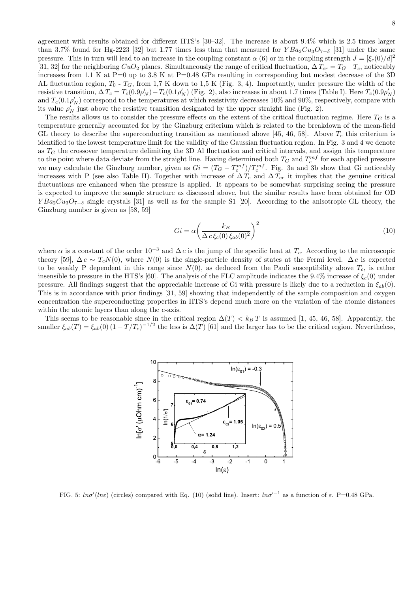its value  $\rho'_{N}$  just above the resistive transition designated by the upper straight line (Fig. 2). The results allows us to consider the pressure effects on the extent of the critical fluctuation regime. Here  $T_G$  is a temperature generally accounted for by the Ginzburg criterium which is related to the breakdown of the mean-field GL theory to describe the superconducting transition as mentioned above [45, 46, 58]. Above  $T_c$  this criterium is identified to the lowest temperature limit for the validity of the Gaussian fluctuation region. In Fig. 3 and 4 we denote as  $T_G$  the crossover temperature delimiting the 3D Al fluctuation and critical intervals, and assign this temperature to the point where data deviate from the straight line. Having determined both  $T_G$  and  $T_c^{mf}$  for each applied pressure we may calculate the Ginzburg number, given as  $Gi = (T_G - T_c^{mf})/T_c^{mf}$ . Fig. 3a and 3b show that Gi noticeably increases with P (see also Table II). Together with increase of  $\Delta T_c$  and  $\Delta T_c$  it implies that the genuine critical fluctuations are enhanced when the pressure is applied. It appears to be somewhat surprising seeing the pressure is expected to improve the sample structure as discussed above, but the similar results have been obtained for OD *YBa*<sub>2</sub>*Cu*<sub>3</sub>*O*<sub>7−</sub><sup> $\delta$ </sup> single crystals [31] as well as for the sample S1 [20]. According to the anisotropic GL theory, the Ginzburg number is given as [58, 59]

$$
Gi = \alpha \left(\frac{k_B}{\Delta c \xi_c(0) \xi_{ab}(0)^2}\right)^2 \tag{10}
$$

where  $\alpha$  is a constant of the order 10<sup>−3</sup> and  $\Delta c$  is the jump of the specific heat at  $T_c$ . According to the microscopic theory [59],  $\Delta c \sim T_cN(0)$ , where  $N(0)$  is the single-particle density of states at the Fermi level.  $\Delta c$  is expected to be weakly P dependent in this range since  $N(0)$ , as deduced from the Pauli susceptibility above  $T_c$ , is rather insensible to pressure in the HTS's [60]. The analysis of the FLC amplitude indicates the 9.4% increase of  $\xi_c(0)$  under pressure. All findings suggest that the appreciable increase of Gi with pressure is likely due to a reduction in  $\xi_{ab}(0)$ . This is in accordance with prior findings [31, 59] showing that independently of the sample composition and oxygen concentration the superconducting properties in HTS's depend much more on the variation of the atomic distances within the atomic layers than along the c-axis.

This seems to be reasonable since in the critical region  $\Delta(T) < k_B T$  is assumed [1, 45, 46, 58]. Apparently, the smaller  $\xi_{ab}(T) = \xi_{ab}(0) (1 - T/T_c)^{-1/2}$  the less is  $\Delta(T)$  [61] and the larger has to be the critical region. Nevertheless,



FIG. 5:  $ln\sigma'(ln\varepsilon)$  (circles) compared with Eq. (10) (solid line). Insert:  $ln\sigma'^{-1}$  as a function of  $\varepsilon$ . P=0.48 GPa.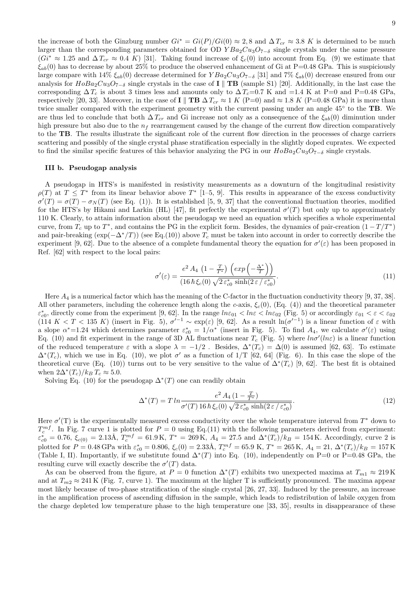the increase of both the Ginzburg number  $Gi^* = Gi(P)/Gi(0) \approx 2, 8$  and  $\Delta T_{cr} \approx 3.8$  *K* is determined to be much larger than the corresponding parameters obtained for OD *Y Ba*2*Cu*3*O*<sup>7</sup>*−<sup>δ</sup>* single crystals under the same pressure  $(G_i^* \approx 1.25 \text{ and } \Delta T_{cr} \approx 0.4 \text{ K})$  [31]. Taking found increase of  $\xi_c(0)$  into account from Eq. (9) we estimate that *ξab*(0) has to decrease by about 25% to produce the observed enhancement of Gi at P=0.48 GPa. This is suspiciously large compare with  $14\% \xi_{ab}(0)$  decrease determined for  $YBa_2Cu_3O_{7-\delta}$  [31] and 7%  $\xi_{ab}(0)$  decrease ensured from our analysis for  $H \circ Ba_2Cu_3O_{7-\delta}$  single crystals in the case of **I**  $\parallel$  **TB** (sample S1) [20]. Additionally, in the last case the corresponding  $\Delta T_c$  is about 3 times less and amounts only to  $\Delta T_c$ =0.7 K and =1.4 K at P=0 and P=0.48 GPa, respectively [20, 33]. Moreover, in the case of **I**  $\parallel$  **TB**  $\Delta T_{cr} \approx 1$  *K* (P=0) and  $\approx 1.8$  *K* (P=0.48 GPa) it is more than twice smaller compared with the experiment geometry with the current passing under an angle 45*◦* to the **TB**. We are thus led to conclude that both  $\Delta T_{cr}$  and Gi increase not only as a consequence of the  $\xi_{ab}(0)$  diminution under high pressure but also due to the  $n_f$  rearrangement caused by the change of the current flow direction comparatively to the **TB**. The results illustrate the significant role of the current flow direction in the processes of charge carriers scattering and possibly of the single crystal phase stratification especially in the slightly doped cuprates. We expected to find the similar specific features of this behavior analyzing the PG in our  $H \circ B \circ a_2 C u_3 O_{7-\delta}$  single crystals.

#### **III b. Pseudogap analysis**

A pseudogap in HTS's is manifested in resistivity measurements as a downturn of the longitudinal resistivity  $\rho(T)$  at  $T \leq T^*$  from its linear behavior above  $T^*$  [1–5, 9]. This results in appearance of the excess conductivity  $\sigma'(T) = \sigma(T) - \sigma_N(T)$  (see Eq. (1)). It is established [5, 9, 37] that the conventional fluctuation theories, modified for the HTS's by Hikami and Larkin (HL) [47], fit perfectly the experimental  $\sigma'(T)$  but only up to approximately 110 K. Clearly, to attain information about the pseudogap we need an equation which specifies a whole experimental curve, from  $T_c$  up to  $T^*$ , and contains the PG in the explicit form. Besides, the dynamics of pair-creation  $(1 - T/T^*)$ and pair-breaking  $(\exp(-\Delta^*/T))$  (see Eq.(10)) above  $T_c$  must be taken into account in order to correctly describe the experiment [9, 62]. Due to the absence of a complete fundamental theory the equation for  $\sigma'(\varepsilon)$  has been proposed in Ref. [62] with respect to the local pairs:

$$
\sigma'(\varepsilon) = \frac{e^2 A_4 \left(1 - \frac{T}{T^*}\right) \left(\exp\left(-\frac{\Delta^*}{T}\right)\right)}{(16 \hbar \xi_c(0) \sqrt{2 \varepsilon_{c0}^* \sinh(2 \varepsilon / \varepsilon_{c0}^*)}}.
$$
\n(11)

Here  $A_4$  is a numerical factor which has the meaning of the C-factor in the fluctuation conductivity theory [9, 37, 38]. All other parameters, including the coherence length along the *c*-axis, *ξc*(0), (Eq. (4)) and the theoretical parameter  $\varepsilon_{c0}^*$ , directly come from the experiment [9, 62]. In the range  $ln \varepsilon_{01} < ln \varepsilon < ln \varepsilon_{02}$  (Fig. 5) or accordingly  $\varepsilon_{01} < \varepsilon < \varepsilon_{02}$ (114  $K < T < 135 K$ ) (insert in Fig. 5),  $\sigma'^{-1} \sim \exp(\varepsilon)$  [9, 62]. As a result  $\ln(\sigma'^{-1})$  is a linear function of  $\varepsilon$  with a slope  $\alpha^* = 1.24$  which determines parameter  $\varepsilon_{c0}^* = 1/\alpha^*$  (insert in Fig. 5). To find  $A_4$ , we calculate  $\sigma'(\varepsilon)$  using Eq. (10) and fit experiment in the range of 3D AL fluctuations near  $T_c$  (Fig. 5) where  $ln\sigma'(ln\varepsilon)$  is a linear function of the reduced temperature  $\varepsilon$  with a slope  $\lambda = -1/2$ . Besides,  $\Delta^*(T_c) = \Delta(0)$  is assumed [62, 63]. To estimate  $\Delta^*(T_c)$ , which we use in Eq. (10), we plot  $\sigma'$  as a function of 1/T [62, 64] (Fig. 6). In this case the slope of the theoretical curve (Eq. (10)) turns out to be very sensitive to the value of  $\Delta^*(T_c)$  [9, 62]. The best fit is obtained when  $2\Delta^*(T_c)/k_B T_c \approx 5.0$ .

Solving Eq. (10) for the pseudogap  $\Delta^*(T)$  one can readily obtain

$$
\Delta^*(T) = T \ln \frac{e^2 A_4 (1 - \frac{T}{T^*})}{\sigma'(T) 16 \hbar \xi_c(0) \sqrt{2 \varepsilon_{c0}^* \sinh(2 \varepsilon / \varepsilon_{c0}^*)}}.
$$
(12)

Here  $\sigma'(T)$  is the experimentally measured excess conductivity over the whole temperature interval from  $T^*$  down to  $T_c^{mf}$ . In Fig. 7 curve 1 is plotted for  $P = 0$  using Eq.(11) with the following parameters derived from experiment:  $\varepsilon_{c0}^* = 0.76$ ,  $\xi_{c(0)} = 2.13$ Å,  $T_c^{mf} = 61.9$ K,  $T^* = 269$ K,  $A_4 = 27.5$  and  $\Delta^*(T_c)/k_B = 154$ K. Accordingly, curve 2 is plotted for  $P = 0.48$  GPa with  $\varepsilon_{c0}^* = 0.806$ ,  $\xi_c(0) = 2.33$  Å,  $T_c^{mf} = 65.9$  K,  $T^* = 265$  K,  $A_4 = 21$ ,  $\Delta^*(T_c)/k_B = 157$  K (Table I, II). Importantly, if we substitute found  $\Delta^*(T)$  into Eq. (10), independently on P=0 or P=0.48 GPa, the resulting curve will exactly describe the  $\sigma'(T)$  data.

As can be observed from the figure, at  $P = 0$  function  $\Delta^*(T)$  exhibits two unexpected maxima at  $T_{m1} \approx 219 \,\mathrm{K}$ and at  $T_{m2} \approx 241$  K (Fig. 7, curve 1). The maximum at the higher T is sufficiently pronounced. The maxima appear most likely because of two-phase stratification of the single crystal [26, 27, 33]. Induced by the pressure, an increase in the amplification process of ascending diffusion in the sample, which leads to redistribution of labile oxygen from the charge depleted low temperature phase to the high temperature one [33, 35], results in disappearance of these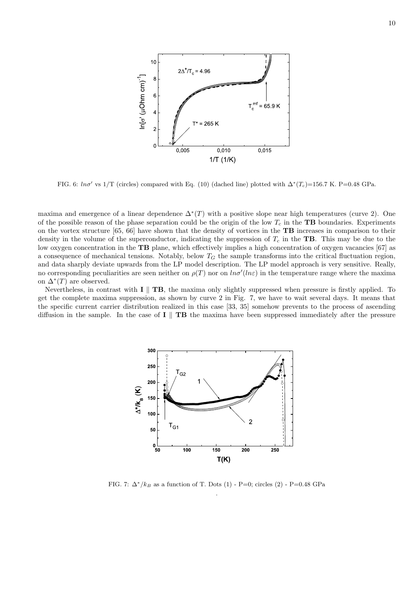

FIG. 6:  $ln \sigma'$  vs 1/T (circles) compared with Eq. (10) (dached line) plotted with  $\Delta^*(T_c)$ =156.7 K. P=0.48 GPa.

maxima and emergence of a linear dependence  $\Delta^*(T)$  with a positive slope near high temperatures (curve 2). One of the possible reason of the phase separation could be the origin of the low *T<sup>c</sup>* in the **TB** boundaries. Experiments on the vortex structure [65, 66] have shown that the density of vortices in the **TB** increases in comparison to their density in the volume of the superconductor, indicating the suppression of  $T_c$  in the **TB**. This may be due to the low oxygen concentration in the **TB** plane, which effectively implies a high concentration of oxygen vacancies [67] as a consequence of mechanical tensions. Notably, below *T<sup>G</sup>* the sample transforms into the critical fluctuation region, and data sharply deviate upwards from the LP model description. The LP model approach is very sensitive. Really, no corresponding peculiarities are seen neither on  $\rho(T)$  nor on  $ln \sigma'(ln \varepsilon)$  in the temperature range where the maxima on  $\Delta^*(T)$  are observed.

Nevertheless, in contrast with **I** *∥* **TB**, the maxima only slightly suppressed when pressure is firstly applied. To get the complete maxima suppression, as shown by curve 2 in Fig. 7, we have to wait several days. It means that the specific current carrier distribution realized in this case [33, 35] somehow prevents to the process of ascending diffusion in the sample. In the case of **I** *∥* **TB** the maxima have been suppressed immediately after the pressure



FIG. 7: ∆*<sup>∗</sup> /k<sup>B</sup>* as a function of T. Dots (1) - P=0; circles (2) - P=0.48 GPa .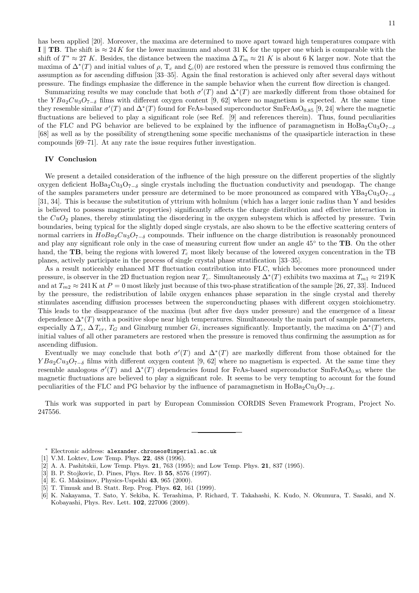has been applied [20]. Moreover, the maxima are determined to move apart toward high temperatures compare with **I** *∥* **TB**. The shift is *≈* 24 *K* for the lower maximum and about 31 K for the upper one which is comparable with the shift of  $T^* \approx 27$  *K*. Besides, the distance between the maxima  $\Delta T_m \approx 21$  *K* is about 6 K larger now. Note that the maxima of  $\Delta^*(T)$  and initial values of  $\rho$ ,  $T_c$  and  $\xi_c(0)$  are restored when the pressure is removed thus confirming the assumption as for ascending diffusion [33–35]. Again the final restoration is achieved only after several days without pressure. The findings emphasize the difference in the sample behavior when the current flow direction is changed.

Summarizing results we may conclude that both  $\sigma'(T)$  and  $\Delta^*(T)$  are markedly different from those obtained for the *YBa*<sub>2</sub> $Cu_3O_{7-\delta}$  films with different oxygen content [9, 62] where no magnetism is expected. At the same time they resemble similar  $\sigma'(T)$  and  $\Delta^*(T)$  found for FeAs-based superconductor SmFeAsO<sub>0.85</sub> [9, 24] where the magnetic fluctuations are believed to play a significant role (see Ref. [9] and references therein). Thus, found peculiarities of the FLC and PG behavior are believed to be explained by the influence of paramagnetism in HoBa<sub>2</sub>Cu<sub>3</sub>O<sub>7−</sub>*δ* [68] as well as by the possibility of strengthening some specific mechanisms of the quasiparticle interaction in these compounds [69–71]. At any rate the issue requires futher investigation.

#### **IV Conclusion**

We present a detailed consideration of the influence of the high pressure on the different properties of the slightly oxygen deficient HoBa2Cu3O<sup>7</sup>*−<sup>δ</sup>* single crystals including the fluctuation conductivity and pseudogap. The change of the samples parameters under pressure are determined to be more pronounced as compared with YBa<sub>2</sub>Cu<sub>3</sub>O<sub>7−</sub><sup>*δ*</sup> [31, 34]. This is because the substitution of yttrium with holmium (which has a larger ionic radius than Y and besides is believed to possess magnetic properties) significantly affects the charge distribution and effective interaction in the *CuO*<sup>2</sup> planes, thereby stimulating the disordering in the oxygen subsystem which is affected by pressure. Twin boundaries, being typical for the slightly doped single crystals, are also shown to be the effective scattering centers of normal carriers in *HoBa*2*Cu*3*O*<sup>7</sup>*−<sup>δ</sup>* compounds. Their influence on the charge distribution is reasonably pronounced and play any significant role only in the case of measuring current flow under an angle 45*◦* to the **TB**. On the other hand, the **TB**, being the regions with lowered *T<sup>c</sup>* most likely because of the lowered oxygen concentration in the TB planes, actively participate in the process of single crystal phase stratification [33–35].

As a result noticeably enhanced MT fluctuation contribution into FLC, which becomes more pronounced under pressure, is observer in the 2D fluctuation region near  $T_c$ . Simultaneously  $\Delta^*(T)$  exhibits two maxima at  $T_{m1} \approx 219 \text{ K}$ and at  $T_{m2} \approx 241$  K at  $P = 0$  most likely just because of this two-phase stratification of the sample [26, 27, 33]. Induced by the pressure, the redistribution of labile oxygen enhances phase separation in the single crystal and thereby stimulates ascending diffusion processes between the superconducting phases with different oxygen stoichiometry. This leads to the disappearance of the maxima (but after five days under pressure) and the emergence of a linear dependence ∆*<sup>∗</sup>* (*T*) with a positive slope near high temperatures. Simultaneously the main part of sample parameters, especially  $\Delta T_c$ ,  $\Delta T_{cr}$ ,  $T_G$  and Ginzburg number *Gi*, increases significantly. Importantly, the maxima on  $\Delta^*(T)$  and initial values of all other parameters are restored when the pressure is removed thus confirming the assumption as for ascending diffusion.

Eventually we may conclude that both  $\sigma'(T)$  and  $\Delta^*(T)$  are markedly different from those obtained for the *YBa*<sub>2</sub>*Cu*<sub>3</sub> $O_{7-\delta}$  films with different oxygen content [9, 62] where no magnetism is expected. At the same time they resemble analogous  $\sigma'(T)$  and  $\Delta^*(T)$  dependencies found for FeAs-based superconductor SmFeAsO<sub>0.85</sub> where the magnetic fluctuations are believed to play a significant role. It seems to be very tempting to account for the found peculiarities of the FLC and PG behavior by the influence of paramagnetism in HoBa<sub>2</sub>Cu<sub>3</sub>O<sub>7</sub><sup>*−δ*.</sup>

This work was supported in part by European Commission CORDIS Seven Framework Program, Project No. 247556.

- *<sup>∗</sup>* Electronic address: alexander.chroneos@imperial.ac.uk
- [1] V.M. Loktev, Low Temp. Phys. **22**, 488 (1996).
- [2] A. A. Pashitskii, Low Temp. Phys. **21**, 763 (1995); and Low Temp. Phys. **21**, 837 (1995).
- [3] B. P. Stojkovic, D. Pines, Phys. Rev. B **55**, 8576 (1997).
- [4] E. G. Maksimov, Physics-Uspekhi **43**, 965 (2000).
- [5] T. Timusk and B. Statt. Rep. Prog. Phys. **62**, 161 (1999).
- [6] K. Nakayama, T. Sato, Y. Sekiba, K. Terashima, P. Richard, T. Takahashi, K. Kudo, N. Okumura, T. Sasaki, and N. Kobayashi, Phys. Rev. Lett. **102**, 227006 (2009).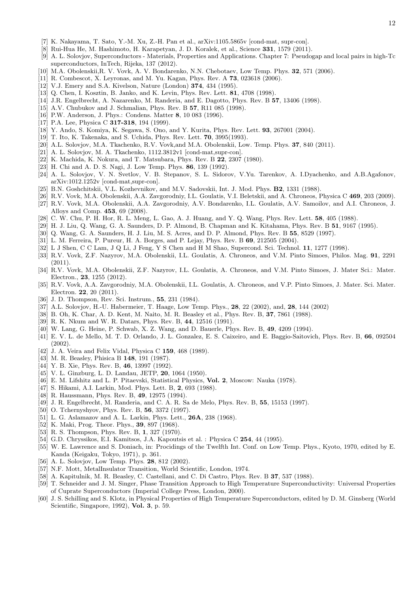- [7] K. Nakayama, T. Sato, Y.-M. Xu, Z.-H. Pan et al., arXiv:1105.5865v [cond-mat, supr-con].
- [8] Rui-Hua He, M. Hashimoto, H. Karapetyan, J. D. Koralek, et al., Science **331**, 1579 (2011).
- [9] A. L. Solovjov, Superconductors Materials, Properties and Applications. Chapter 7: Pseudogap and local pairs in high-Tc superconductors, InTech, Rijeka, 137 (2012).
- [10] M.A. Obolenskii,R. V. Vovk, A. V. Bondarenko, N.N. Chebotaev, Low Temp. Phys. **32**, 571 (2006).
- [11] R. Combescot, X. Leyronas, and M. Yu. Kagan, Phys. Rev. A **73**, 023618 (2006).
- [12] V.J. Emery and S.A. Kivelson, Nature (London) **374**, 434 (1995).
- [13] Q. Chen, I. Kosztin, B. Janko, and K. Levin, Phys. Rev. Lett. **81**, 4708 (1998).
- [14] J.R. Engelbrecht, A. Nazarenko, M. Randeria, and E. Dagotto, Phys. Rev. B **57**, 13406 (1998).
- [15] A.V. Chubukov and J. Schmalian, Phys. Rev. B **57**, R11 085 (1998).
- [16] P.W. Anderson, J. Phys.: Condens. Matter **8**, 10 083 (1996).
- [17] P.A. Lee, Physica C **317-318**, 194 (1999).
- [18] Y. Ando, S. Komiya, K. Segawa, S. Ono, and Y. Kurita, Phys. Rev. Lett. **93**, 267001 (2004).
- [19] T. Ito, K. Takenaka, and S. Uchida, Phys. Rev. Lett. **70**, 3995(1993).
- [20] A.L. Solovjov, M.A. Tkachenko, R.V. Vovk,and M.A. Obolenskii, Low. Temp. Phys. **37**, 840 (2011).
- [21] A. L. Solovjov, M. A. Tkachenko, 1112.3812v1 [cond-mat,supr-con].
- [22] K. Machida, K. Nokura, and T. Matsubara, Phys. Rev. B **22**, 2307 (1980).
- [23] H. Chi and A. D. S. Nagi, J. Low Temp. Phys. **86**, 139 (1992).
- [24] A. L. Solovjov, V. N. Svetlov, V. B. Stepanov, S. L. Sidorov, V.Yu. Tarenkov, A. I.Dyachenko, and A.B.Agafonov, arXiv:1012.1252v [cond-mat,supr-con].
- [25] B.N. Goshchitskii, V.L. Kozhevnikov, and M.V. Sadovskii, Int. J. Mod. Phys. **B2**, 1331 (1988).
- [26] R.V. Vovk, M.A. Obolenskii, A.A. Zavgorodniy, I.L. Goulatis, V.I. Beletskii, and A. Chroneos, Physica C **469**, 203 (2009).
- [27] R.V. Vovk, M.A. Obolenskii, A.A. Zavgorodniy, A.V. Bondarenko, I.L. Goulatis, A.V. Samoilov, and A.I. Chroneos, J. Alloys and Comp. **453**, 69 (2008).
- [28] C. W. Chu, P. H. Hor, R. L. Meng, L. Gao, A. J. Huang, and Y. Q. Wang, Phys. Rev. Lett. **58**, 405 (1988).
- [29] H. J. Liu, Q. Wang, G. A. Saunders, D. P. Almond, B. Chapman and K. Kitahama, Phys. Rev. B **51**, 9167 (1995).
- [30] Q. Wang, G. A. Saunders, H. J. Liu, M. S. Acres, and D. P. Almond, Phys. Rev. B **55**, 8529 (1997).
- [31] L. M. Ferreira, P. Pureur, H. A. Borges, and P. Lejay, Phys. Rev. B **69**, 212505 (2004).
- [32] L J Shen, C C Lam, J Q Li, J Feng, Y S Chen and H M Shao, Supercond. Sci. Technol. **11**, 1277 (1998).
- [33] R.V. Vovk, Z.F. Nazyrov, M.A. Obolenskii, I.L. Goulatis, A. Chroneos, and V.M. Pinto Simoes, Philos. Mag. **91**, 2291 (2011).
- [34] R.V. Vovk, M.A. Obolenskii, Z.F. Nazyrov, I.L. Goulatis, A. Chroneos, and V.M. Pinto Simoes, J. Mater Sci.: Mater. Electron., **23**, 1255 (2012).
- [35] R.V. Vovk, A.A. Zavgorodniy, M.A. Obolenskii, I.L. Goulatis, A. Chroneos, and V.P. Pinto Simoes, J. Mater. Sci. Mater. Electron. **22**, 20 (2011).
- [36] J. D. Thompson, Rev. Sci. Instrum., **55**, 231 (1984).
- [37] A.L. Solovjov, H.-U. Habermeier, T. Haage, Low Temp. Phys., **28**, 22 (2002), and, **28**, 144 (2002)
- [38] B. Oh, K. Char, A. D. Kent, M. Naito, M. R. Beasley et al., Phys. Rev. B, **37**, 7861 (1988).
- [39] R. K. Nkum and W. R. Datars, Phys. Rev. B, **44**, 12516 (1991).
- [40] W. Lang, G. Heine, P. Schwab, X. Z. Wang, and D. Bauerle, Phys. Rev. B, **49**, 4209 (1994).
- [41] E. V. L. de Mello, M. T. D. Orlando, J. L. Gonzalez, E. S. Caixeiro, and E. Baggio-Saitovich, Phys. Rev. B, **66**, 092504 (2002).
- [42] J. A. Veira and Felix Vidal, Physica C **159**, 468 (1989).
- [43] M. R. Beasley, Phisica B **148**, 191 (1987).
- [44] Y. B. Xie, Phys. Rev. B, **46**, 13997 (1992).
- [45] V. L. Ginzburg, L. D. Landau, JETP, **20**, 1064 (1950).
- [46] E. M. Lifshitz and L. P. Pitaevski, Statistical Physics, **Vol. 2**, Moscow: Nauka (1978).
- [47] S. Hikami, A.I. Larkin, Mod. Phys. Lett. B, **2**, 693 (1988).
- [48] R. Haussmann, Phys. Rev. B, **49**, 12975 (1994).
- [49] J. R. Engelbrecht, M. Randeria, and C. A. R. Sa de Melo, Phys. Rev. B, **55**, 15153 (1997).
- [50] O. Tchernyshyov, Phys. Rev. B, **56**, 3372 (1997).
- [51] L. G. Aslamazov and A. L. Larkin, Phys. Lett., **26A**, 238 (1968).
- [52] K. Maki, Prog. Theor. Phys., **39**, 897 (1968).
- [53] R. S. Thompson, Phys. Rev. B, **1**, 327 (1970).
- [54] G.D. Chryssikos, E.I. Kamitsos, J.A. Kapoutsis et al. : Physica C **254**, 44 (1995).
- [55] W. E. Lawrence and S. Doniach, in: Procidings of the Twelfth Int. Conf. on Low Temp. Phys., Kyoto, 1970, edited by E. Kanda (Keigaku, Tokyo, 1971), p. 361.
- [56] A. L. Solovjov, Low Temp. Phys. **28**, 812 (2002).
- [57] N.F. Mott, MetalInsulator Transition, World Scientific, London, 1974.
- [58] A. Kapitulnik, M. R. Beasley, C. Castellani, and C. Di Castro, Phys. Rev. B **37**, 537 (1988).
- [59] T. Schneider and J. M. Singer, Phase Transition Approach to High Temperature Superconductivity: Universal Properties of Cuprate Superconductors (Imperial College Press, London, 2000).
- [60] J. S. Schilling and S. Klotz, in Physical Properties of High Temperature Superconductors, edited by D. M. Ginsberg (World Scientific, Singapore, 1992), **Vol. 3**, p. 59.